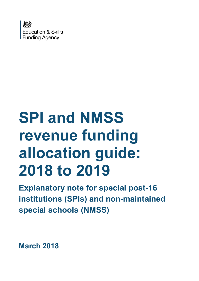

# **SPI and NMSS revenue funding allocation guide: 2018 to 2019**

**Explanatory note for special post-16 institutions (SPIs) and non-maintained special schools (NMSS)**

**March 2018**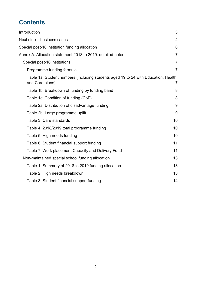## **Contents**

| Introduction                                                                                          | 3              |
|-------------------------------------------------------------------------------------------------------|----------------|
| Next step - business cases                                                                            | 4              |
| Special post-16 institution funding allocation                                                        | 6              |
| Annex A: Allocation statement 2018 to 2019: detailed notes                                            | $\overline{7}$ |
| Special post-16 institutions                                                                          | $\overline{7}$ |
| Programme funding formula                                                                             | $\overline{7}$ |
| Table 1a: Student numbers (including students aged 19 to 24 with Education, Health<br>and Care plans) | $\overline{7}$ |
| Table 1b: Breakdown of funding by funding band                                                        | 8              |
| Table 1c: Condition of funding (CoF)                                                                  | 8              |
| Table 2a: Distribution of disadvantage funding                                                        | 9              |
| Table 2b: Large programme uplift                                                                      | 9              |
| Table 3: Care standards                                                                               | 10             |
| Table 4: 2018/2019 total programme funding                                                            | 10             |
| Table 5: High needs funding                                                                           | 10             |
| Table 6: Student financial support funding                                                            | 11             |
| Table 7: Work placement Capacity and Delivery Fund                                                    | 11             |
| Non-maintained special school funding allocation                                                      | 13             |
| Table 1: Summary of 2018 to 2019 funding allocation                                                   | 13             |
| Table 2: High needs breakdown                                                                         | 13             |
| Table 3: Student financial support funding                                                            | 14             |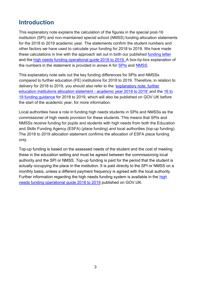## <span id="page-2-0"></span>**Introduction**

This explanatory note explains the calculation of the figures in the special post-16 institution (SPI) and non-maintained special school (NMSS) funding allocation statements for the 2018 to 2019 academic year. The statements confirm the student numbers and other factors we have used to calculate your funding for 2018 to 2019. We have made these calculations in line with the approach set out in both our published [funding letter](https://www.gov.uk/government/publications/16-to-19-funding-funding-for-academic-year-2018-to-2019) and the [high needs funding operational guide 2018](https://www.gov.uk/government/publications/high-needs-funding-arrangements-2018-to-2019) to 2019. A box-by-box explanation of the numbers in the statement is provided in annex A for [SPIs](#page-6-4) and [NMSS.](#page-12-0)

This explanatory note sets out the key funding differences for SPIs and NMSSs compared to further education (FE) institutions for 2018 to 2019. Therefore, in relation to delivery for 2018 to 2019, you should also refer to the '[explanatory note: further](https://www.gov.uk/government/uploads/system/uploads/attachment_data/file/683427/1819_FE_allocation_statement_explanatory_note.pdf)  [education institutions allocation statement -](https://www.gov.uk/government/uploads/system/uploads/attachment_data/file/683427/1819_FE_allocation_statement_explanatory_note.pdf) academic year 2018 to 2019' and the [16 to](https://www.gov.uk/guidance/16-to-19-education-funding-guidance)  [19 funding guidance](https://www.gov.uk/guidance/16-to-19-education-funding-guidance) for 2018 to 2019, which will also be published on GOV.UK before the start of the academic year, for more information.

Local authorities have a role in funding high needs students in SPIs and NMSSs as the commissioner of high needs provision for these students. This means that SPIs and NMSSs receive funding for pupils and students with high needs from both the Education and Skills Funding Agency (ESFA) (place funding) and local authorities (top-up funding). The 2018 to 2019 allocation statement confirms the allocation of ESFA place funding only.

Top-up funding is based on the assessed needs of the student and the cost of meeting these in the education setting and must be agreed between the commissioning local authority and the SPI or NMSS. Top-up funding is paid for the period that the student is actually occupying the place in the institution. It is paid directly to the SPI or NMSS on a monthly basis, unless a different payment frequency is agreed with the local authority. Further information regarding the high needs funding system is available in the [high](https://www.gov.uk/government/publications/high-needs-funding-arrangements-2018-to-2019)  [needs funding operational guide 2018 to 2019](https://www.gov.uk/government/publications/high-needs-funding-arrangements-2018-to-2019) published on GOV.UK.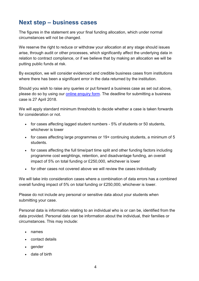## <span id="page-3-0"></span>**Next step – business cases**

The figures in the statement are your final funding allocation, which under normal circumstances will not be changed.

We reserve the right to reduce or withdraw your allocation at any stage should issues arise, through audit or other processes, which significantly affect the underlying data in relation to contract compliance, or if we believe that by making an allocation we will be putting public funds at risk.

By exception, we will consider evidenced and credible business cases from institutions where there has been a significant error in the data returned by the institution.

Should you wish to raise any queries or put forward a business case as set out above, please do so by using our [online enquiry form.](https://form.education.gov.uk/fillform.php?self=1&form_id=HR41uA2F8Dh&type=form&ShowMsg=1&form_name=Knowledge+centre+enquiry+form&noRegister=false&ret=%2Fmodule%2Fservices&noLoginPrompt=1) The deadline for submitting a business case is 27 April 2018.

We will apply standard minimum thresholds to decide whether a case is taken forwards for consideration or not.

- for cases affecting lagged student numbers 5% of students or 50 students, whichever is lower
- for cases affecting large programmes or 19+ continuing students, a minimum of 5 students.
- for cases affecting the full time/part time split and other funding factors including programme cost weightings, retention, and disadvantage funding, an overall impact of 5% on total funding or £250,000, whichever is lower
- for other cases not covered above we will review the cases individually

We will take into consideration cases where a combination of data errors has a combined overall funding impact of 5% on total funding or £250,000, whichever is lower.

Please do not include any personal or sensitive data about your students when submitting your case.

Personal data is information relating to an individual who is or can be, identified from the data provided. Personal data can be information about the individual, their families or circumstances. This may include:

- names
- contact details
- gender
- date of birth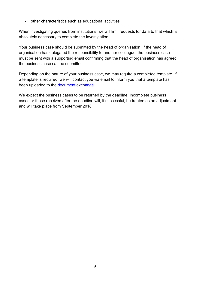other characteristics such as educational activities

When investigating queries from institutions, we will limit requests for data to that which is absolutely necessary to complete the investigation.

Your business case should be submitted by the head of organisation. If the head of organisation has delegated the responsibility to another colleague, the business case must be sent with a supporting email confirming that the head of organisation has agreed the business case can be submitted.

Depending on the nature of your business case, we may require a completed template. If a template is required, we will contact you via email to inform you that a template has been uploaded to the [document exchange.](https://www.gov.uk/government/publications/efa-information-exchange/efa-information-exchange-about-the-system)

We expect the business cases to be returned by the deadline. Incomplete business cases or those received after the deadline will, if successful, be treated as an adjustment and will take place from September 2018.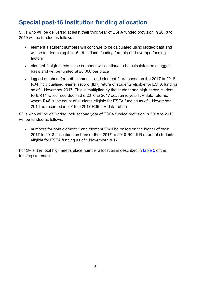## <span id="page-5-0"></span>**Special post-16 institution funding allocation**

SPIs who will be delivering at least their third year of ESFA funded provision in 2018 to 2019 will be funded as follows:

- element 1 student numbers will continue to be calculated using lagged data and will be funded using the 16-19 national funding formula and average funding factors
- element 2 high needs place numbers will continue to be calculated on a lagged basis and will be funded at £6,000 per place
- lagged numbers for both element 1 and element 2 are based on the 2017 to 2018 R04 individualised learner record (ILR) return of students eligible for ESFA funding as of 1 November 2017. This is multiplied by the student and high needs student R46:R14 ratios recorded in the 2016 to 2017 academic year ILR data returns, where R46 is the count of students eligible for ESFA funding as of 1 November 2016 as recorded in 2016 to 2017 R06 ILR data return

SPIs who will be delivering their second year of ESFA funded provision in 2018 to 2019 will be funded as follows:

 numbers for both element 1 and element 2 will be based on the higher of their 2017 to 2018 allocated numbers or their 2017 to 2018 R04 ILR return of students eligible for ESFA funding as of 1 November 2017

For SPIs, the total high needs place number allocation is described in [table 5](#page-9-2) of the funding statement.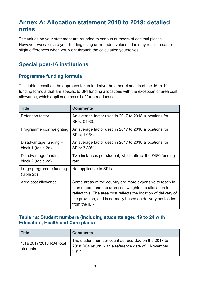## <span id="page-6-0"></span>**Annex A: Allocation statement 2018 to 2019: detailed notes**

<span id="page-6-4"></span>The values on your statement are rounded to various numbers of decimal places. However, we calculate your funding using un-rounded values. This may result in some slight differences when you work through the calculation yourselves.

### <span id="page-6-1"></span>**Special post-16 institutions**

#### <span id="page-6-2"></span>**Programme funding formula**

This table describes the approach taken to derive the other elements of the 16 to 19 funding formula that are specific to SPI funding allocations with the exception of area cost allowance, which applies across all of further education.

| <b>Title</b>                                 | <b>Comments</b>                                                                                                                                                                                                                                                         |
|----------------------------------------------|-------------------------------------------------------------------------------------------------------------------------------------------------------------------------------------------------------------------------------------------------------------------------|
| <b>Retention factor</b>                      | An average factor used in 2017 to 2018 allocations for<br>SPIs: 0.983.                                                                                                                                                                                                  |
| Programme cost weighting                     | An average factor used in 2017 to 2018 allocations for<br>SPIs: 1.054.                                                                                                                                                                                                  |
| Disadvantage funding -<br>block 1 (table 2a) | An average factor used in 2017 to 2018 allocations for<br>SPIs: 3.80%.                                                                                                                                                                                                  |
| Disadvantage funding -<br>block 2 (table 2a) | Two instances per student, which attract the £480 funding<br>rate.                                                                                                                                                                                                      |
| Large programme funding<br>(table 2b)        | Not applicable to SPIs.                                                                                                                                                                                                                                                 |
| Area cost allowance                          | Some areas of the country are more expensive to teach in<br>than others, and the area cost weights the allocation to<br>reflect this. The area cost reflects the location of delivery of<br>the provision, and is normally based on delivery postcodes<br>from the ILR. |

#### <span id="page-6-3"></span>**Table 1a: Student numbers (including students aged 19 to 24 with Education, Health and Care plans)**

| <b>Title</b>                         | <b>Comments</b>                                                                                                      |
|--------------------------------------|----------------------------------------------------------------------------------------------------------------------|
| 1.1a 2017/2018 R04 total<br>students | The student number count as recorded on the 2017 to<br>2018 R04 return, with a reference date of 1 November<br>2017. |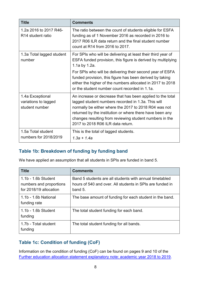| <b>Title</b>                                               | <b>Comments</b>                                                                                                                                                                                                                                                                                                                                                                       |
|------------------------------------------------------------|---------------------------------------------------------------------------------------------------------------------------------------------------------------------------------------------------------------------------------------------------------------------------------------------------------------------------------------------------------------------------------------|
| 1.2a 2016 to 2017 R46-<br>R <sub>14</sub> student ratio    | The ratio between the count of students eligible for ESFA<br>funding as of 1 November 2016 as recorded in 2016 to<br>2017 R06 ILR data return and the final student number<br>count at R14 from 2016 to 2017.                                                                                                                                                                         |
| 1.3a Total lagged student<br>number                        | For SPIs who will be delivering at least their third year of<br>ESFA funded provision, this figure is derived by multiplying<br>1.1a by 1.2a.<br>For SPIs who will be delivering their second year of ESFA<br>funded provision, this figure has been derived by taking<br>either the higher of the numbers allocated in 2017 to 2018<br>or the student number count recorded in 1.1a. |
| 1.4a Exceptional<br>variations to lagged<br>student number | An increase or decrease that has been applied to the total<br>lagged student numbers recorded in 1.3a. This will<br>normally be either where the 2017 to 2018 R04 was not<br>returned by the institution or where there have been any<br>changes resulting from reviewing student numbers in the<br>2017 to 2018 R06 ILR data return.                                                 |
| 1.5a Total student<br>numbers for 2018/2019                | This is the total of lagged students.<br>$1.3a + 1.4a$                                                                                                                                                                                                                                                                                                                                |

#### <span id="page-7-0"></span>**Table 1b: Breakdown of funding by funding band**

We have applied an assumption that all students in SPIs are funded in band 5.

| <b>Title</b>                                                             | <b>Comments</b>                                                                                                                   |
|--------------------------------------------------------------------------|-----------------------------------------------------------------------------------------------------------------------------------|
| 1.1b - 1.6b Student<br>numbers and proportions<br>for 2018/19 allocation | Band 5 students are all students with annual timetabled<br>hours of 540 and over. All students in SPIs are funded in<br>band $5.$ |
| 1.1b - 1.6b National<br>funding rate                                     | The base amount of funding for each student in the band.                                                                          |
| 1.1b - 1.6b Student<br>funding                                           | The total student funding for each band.                                                                                          |
| 1.7b - Total student<br>funding                                          | The total student funding for all bands.                                                                                          |

#### <span id="page-7-1"></span>**Table 1c: Condition of funding (CoF)**

Information on the condition of funding (CoF) can be found on pages 9 and 10 of the [Further education allocation statement explanatory note: academic year 2018 to 2019.](https://www.gov.uk/government/publications/16-to-19-funding-allocations-supporting-documents-for-2018-to-2019)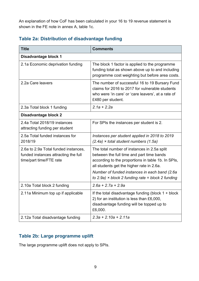An explanation of how CoF has been calculated in your 16 to 19 revenue statement is shown in the FE note in annex A, table 1c.

#### <span id="page-8-0"></span>**Table 2a: Distribution of disadvantage funding**

| <b>Title</b>                                                                                            | <b>Comments</b>                                                                                                                                                                                                                               |
|---------------------------------------------------------------------------------------------------------|-----------------------------------------------------------------------------------------------------------------------------------------------------------------------------------------------------------------------------------------------|
| Disadvantage block 1                                                                                    |                                                                                                                                                                                                                                               |
| 2.1a Economic deprivation funding                                                                       | The block 1 factor is applied to the programme<br>funding total as shown above up to and including<br>programme cost weighting but before area costs.                                                                                         |
| 2.2a Care leavers                                                                                       | The number of successful 16 to 19 Bursary Fund<br>claims for 2016 to 2017 for vulnerable students<br>who were 'in care' or 'care leavers', at a rate of<br>£480 per student.                                                                  |
| 2.3a Total block 1 funding                                                                              | $2.1a + 2.2a$                                                                                                                                                                                                                                 |
| Disadvantage block 2                                                                                    |                                                                                                                                                                                                                                               |
| 2.4a Total 2018/19 instances<br>attracting funding per student                                          | For SPIs the instances per student is 2.                                                                                                                                                                                                      |
| 2.5a Total funded instances for<br>2018/19                                                              | Instances per student applied in 2018 to 2019<br>$(2.4a)$ × total student numbers $(1.5a)$                                                                                                                                                    |
| 2.6a to 2.9a Total funded instances,<br>funded instances attracting the full<br>time/part time/FTE rate | The total number of instances in 2.5a split<br>between the full time and part time bands<br>according to the proportions in table 1b. In SPIs,<br>all students get the higher rate in 2.6a.<br>Number of funded instances in each band (2.6a) |
| 2.10a Total block 2 funding                                                                             | to 2.9a) $\times$ block 2 funding rate = block 2 funding<br>$2.6a + 2.7a + 2.9a$                                                                                                                                                              |
|                                                                                                         |                                                                                                                                                                                                                                               |
| 2.11a Minimum top up if applicable                                                                      | If the total disadvantage funding (block $1 +$ block<br>2) for an institution is less than £6,000,<br>disadvantage funding will be topped up to<br>£6,000.                                                                                    |
| 2.12a Total disadvantage funding                                                                        | $2.3a + 2.10a + 2.11a$                                                                                                                                                                                                                        |

#### <span id="page-8-1"></span>**Table 2b: Large programme uplift**

The large programme uplift does not apply to SPIs.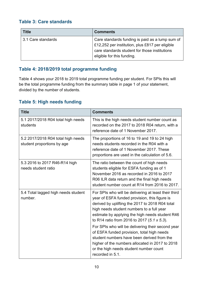#### <span id="page-9-0"></span>**Table 3: Care standards**

| <b>Title</b>       | <b>Comments</b>                                                                                                                                                                   |
|--------------------|-----------------------------------------------------------------------------------------------------------------------------------------------------------------------------------|
| 3.1 Care standards | Care standards funding is paid as a lump sum of<br>£12,252 per institution, plus £817 per eligible<br>care standards student for those institutions<br>eligible for this funding. |

#### <span id="page-9-1"></span>**Table 4: 2018/2019 total programme funding**

Table 4 shows your 2018 to 2019 total programme funding per student. For SPIs this will be the total programme funding from the summary table in page 1 of your statement, divided by the number of students.

#### <span id="page-9-2"></span>**Table 5: High needs funding**

| <b>Title</b>                                                     | <b>Comments</b>                                                                                                                                                                                                                                                                                                                                                                                                                                                                                                                                                           |
|------------------------------------------------------------------|---------------------------------------------------------------------------------------------------------------------------------------------------------------------------------------------------------------------------------------------------------------------------------------------------------------------------------------------------------------------------------------------------------------------------------------------------------------------------------------------------------------------------------------------------------------------------|
| 5.1 2017/2018 R04 total high needs<br>students                   | This is the high needs student number count as<br>recorded on the 2017 to 2018 R04 return, with a<br>reference date of 1 November 2017.                                                                                                                                                                                                                                                                                                                                                                                                                                   |
| 5.2 2017/2018 R04 total high needs<br>student proportions by age | The proportions of 16 to 19 and 19 to 24 high<br>needs students recorded in the R04 with a<br>reference date of 1 November 2017. These<br>proportions are used in the calculation of 5.6.                                                                                                                                                                                                                                                                                                                                                                                 |
| 5.3 2016 to 2017 R46-R14 high<br>needs student ratio             | The ratio between the count of high needs<br>students eligible for ESFA funding as of 1<br>November 2016 as recorded in 2016 to 2017<br>R06 ILR data return and the final high needs<br>student number count at R14 from 2016 to 2017.                                                                                                                                                                                                                                                                                                                                    |
| 5.4 Total lagged high needs student<br>number.                   | For SPIs who will be delivering at least their third<br>year of ESFA funded provision, this figure is<br>derived by uplifting the 2017 to 2018 R04 total<br>high needs student numbers to a full year<br>estimate by applying the high needs student R46<br>to R14 ratio from 2016 to 2017 (5.1 x 5.3).<br>For SPIs who will be delivering their second year<br>of ESFA funded provision, total high needs<br>student numbers have been derived from the<br>higher of the numbers allocated in 2017 to 2018<br>or the high needs student number count<br>recorded in 5.1. |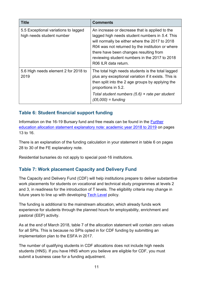| <b>Title</b>                                                      | <b>Comments</b>                                                                                                                                                                                                                                                                                                           |
|-------------------------------------------------------------------|---------------------------------------------------------------------------------------------------------------------------------------------------------------------------------------------------------------------------------------------------------------------------------------------------------------------------|
| 5.5 Exceptional variations to lagged<br>high needs student number | An increase or decrease that is applied to the<br>lagged high needs student numbers in 5.4. This<br>will normally be either where the 2017 to 2018<br>R04 was not returned by the institution or where<br>there have been changes resulting from<br>reviewing student numbers in the 2017 to 2018<br>R06 ILR data return. |
| 5.6 High needs element 2 for 2018 to<br>2019                      | The total high needs students is the total lagged<br>plus any exceptional variation if it exists. This is<br>then split into the 2 age groups by applying the<br>proportions in 5.2.<br>Total student numbers $(5.6)$ × rate per student<br>$(E6,000) = funding$                                                          |

#### <span id="page-10-0"></span>**Table 6: Student financial support funding**

Information on the 16-19 Bursary fund and free meals can be found in the [Further](https://www.gov.uk/government/publications/16-to-19-funding-allocations-supporting-documents-for-2018-to-2019)  [education allocation statement explanatory note: academic year 2018 to 2019](https://www.gov.uk/government/publications/16-to-19-funding-allocations-supporting-documents-for-2018-to-2019) on pages 13 to 16.

There is an explanation of the funding calculation in your statement in table 6 on pages 28 to 30 of the FE explanatory note.

Residential bursaries do not apply to special post-16 institutions.

#### <span id="page-10-1"></span>**Table 7: Work placement Capacity and Delivery Fund**

The Capacity and Delivery Fund (CDF) will help institutions prepare to deliver substantive work placements for students on vocational and technical study programmes at levels 2 and 3, in readiness for the introduction of T levels. The eligibility criteria may change in future years to line up with developing [Tech Level](https://www.gov.uk/government/publications/2019-performance-tables-technical-and-vocational-qualifications/tech-levels) policy.

The funding is additional to the mainstream allocation, which already funds work experience for students through the planned hours for employability, enrichment and pastoral (EEP) activity.

As at the end of March 2018, table 7 of the allocation statement will contain zero values for all SPIs. This is because no SPIs opted in for CDF funding by submitting an implementation plan to the ESFA in 2017.

The number of qualifying students in CDF allocations does not include high needs students (HNS). If you have HNS whom you believe are eligible for CDF, you must submit a business case for a funding adjustment.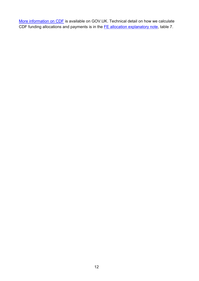[More information on CDF](https://www.gov.uk/guidance/work-placements-capacity-and-delivery-fund-from-april-2018-to-july-2019) is available on GOV.UK. Technical detail on how we calculate CDF funding allocations and payments is in the **FE allocation explanatory note**, table 7.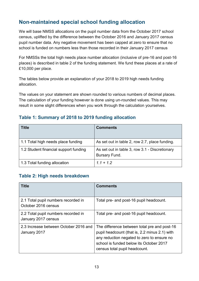#### <span id="page-12-0"></span>**Non-maintained special school funding allocation**

We will base NMSS allocations on the pupil number data from the October 2017 school census, uplifted by the difference between the October 2016 and January 2017 census pupil number data. Any negative movement has been capped at zero to ensure that no school is funded on numbers less than those recorded in their January 2017 census

For NMSSs the total high needs place number allocation (inclusive of pre-16 and post-16 places) is described in table 2 of the funding statement. We fund these places at a rate of £10,000 per place.

The tables below provide an explanation of your 2018 to 2019 high needs funding allocation.

The values on your statement are shown rounded to various numbers of decimal places. The calculation of your funding however is done using un-rounded values. This may result in some slight differences when you work through the calculation yourselves.

#### <span id="page-12-1"></span>**Table 1: Summary of 2018 to 2019 funding allocation**

| <b>Title</b>                          | <b>Comments</b>                                                        |
|---------------------------------------|------------------------------------------------------------------------|
| 1.1 Total high needs place funding    | As set out in table 2, row 2.7, place funding.                         |
| 1.2 Student financial support funding | As set out in table 3, row 3.1 - Discretionary<br><b>Bursary Fund.</b> |
| 1.3 Total funding allocation          | $1.1 + 1.2$                                                            |

#### <span id="page-12-2"></span>**Table 2: High needs breakdown**

| <b>Title</b>                                               | <b>Comments</b>                                                                                                                                                                                                         |
|------------------------------------------------------------|-------------------------------------------------------------------------------------------------------------------------------------------------------------------------------------------------------------------------|
| 2.1 Total pupil numbers recorded in<br>October 2016 census | Total pre- and post-16 pupil headcount.                                                                                                                                                                                 |
| 2.2 Total pupil numbers recorded in<br>January 2017 census | Total pre- and post-16 pupil headcount.                                                                                                                                                                                 |
| 2.3 Increase between October 2016 and<br>January 2017      | The difference between total pre and post-16<br>pupil headcount (that is, 2.2 minus 2.1) with<br>any reduction negated to zero to ensure no<br>school is funded below its October 2017<br>census total pupil headcount. |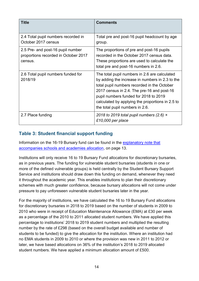| <b>Title</b>                                                                         | <b>Comments</b>                                                                                                                                                                                                                                                                                                               |
|--------------------------------------------------------------------------------------|-------------------------------------------------------------------------------------------------------------------------------------------------------------------------------------------------------------------------------------------------------------------------------------------------------------------------------|
| 2.4 Total pupil numbers recorded in<br>October 2017 census                           | Total pre and post-16 pupil headcount by age<br>group.                                                                                                                                                                                                                                                                        |
| 2.5 Pre- and post-16 pupil number<br>proportions recorded in October 2017<br>census. | The proportions of pre and post-16 pupils<br>recorded in the October 2017 census data.<br>These proportions are used to calculate the<br>total pre and post-16 numbers in 2.6.                                                                                                                                                |
| 2.6 Total pupil numbers funded for<br>2018/19                                        | The total pupil numbers in 2.6 are calculated<br>by adding the increase in numbers in 2.3 to the<br>total pupil numbers recorded in the October<br>2017 census in 2.4. The pre-16 and post-16<br>pupil numbers funded for 2018 to 2019<br>calculated by applying the proportions in 2.5 to<br>the total pupil numbers in 2.6. |
| 2.7 Place funding                                                                    | 2018 to 2019 total pupil numbers (2.6) $\times$<br>£10,000 per place                                                                                                                                                                                                                                                          |

#### <span id="page-13-0"></span>**Table 3: Student financial support funding**

Information on the 16-19 Bursary fund can be found in the [explanatory note that](https://www.gov.uk/government/publications/16-to-19-funding-allocations-supporting-documents-for-2018-to-2019)  [accompanies schools and academies allocation,](https://www.gov.uk/government/publications/16-to-19-funding-allocations-supporting-documents-for-2018-to-2019) on page 13.

Institutions will only receive 16 to 19 Bursary Fund allocations for discretionary bursaries, as in previous years. The funding for vulnerable student bursaries (students in one or more of the defined vulnerable groups) is held centrally by the Student Bursary Support Service and institutions should draw down this funding on demand, whenever they need it throughout the academic year. This enables institutions to plan their discretionary schemes with much greater confidence, because bursary allocations will not come under pressure to pay unforeseen vulnerable student bursaries later in the year.

For the majority of institutions, we have calculated the 16 to 19 Bursary Fund allocations for discretionary bursaries in 2018 to 2019 based on the number of students in 2009 to 2010 who were in receipt of Education Maintenance Allowance (EMA) at £30 per week as a percentage of the 2010 to 2011 allocated student numbers. We have applied this percentage to institutions' 2018 to 2019 student numbers and multiplied the resulting number by the rate of £298 (based on the overall budget available and number of students to be funded) to give the allocation for the institution. Where an institution had no EMA students in 2009 to 2010 or where the provision was new in 2011 to 2012 or later, we have based allocations on 36% of the institution's 2018 to 2019 allocated student numbers. We have applied a minimum allocation amount of £500.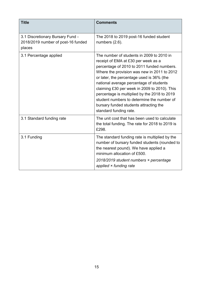| <b>Title</b>                                                                     | <b>Comments</b>                                                                                                                                                                                                                                                                                                                                                                                                                                                                         |
|----------------------------------------------------------------------------------|-----------------------------------------------------------------------------------------------------------------------------------------------------------------------------------------------------------------------------------------------------------------------------------------------------------------------------------------------------------------------------------------------------------------------------------------------------------------------------------------|
| 3.1 Discretionary Bursary Fund -<br>2018/2019 number of post-16 funded<br>places | The 2018 to 2019 post-16 funded student<br>numbers (2.6).                                                                                                                                                                                                                                                                                                                                                                                                                               |
| 3.1 Percentage applied                                                           | The number of students in 2009 to 2010 in<br>receipt of EMA at £30 per week as a<br>percentage of 2010 to 2011 funded numbers.<br>Where the provision was new in 2011 to 2012<br>or later, the percentage used is 36% (the<br>national average percentage of students<br>claiming £30 per week in 2009 to 2010). This<br>percentage is multiplied by the 2018 to 2019<br>student numbers to determine the number of<br>bursary funded students attracting the<br>standard funding rate. |
| 3.1 Standard funding rate                                                        | The unit cost that has been used to calculate<br>the total funding. The rate for 2018 to 2019 is<br>£298.                                                                                                                                                                                                                                                                                                                                                                               |
| 3.1 Funding                                                                      | The standard funding rate is multiplied by the<br>number of bursary funded students (rounded to<br>the nearest pound). We have applied a<br>minimum allocation of £500.<br>2018/2019 student numbers × percentage<br>applied $\times$ funding rate                                                                                                                                                                                                                                      |